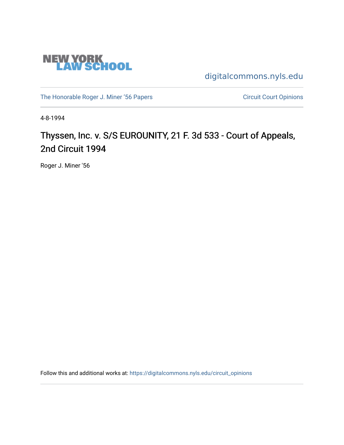

[digitalcommons.nyls.edu](https://digitalcommons.nyls.edu/) 

[The Honorable Roger J. Miner '56 Papers](https://digitalcommons.nyls.edu/miner_papers) Circuit Court Opinions

4-8-1994

# Thyssen, Inc. v. S/S EUROUNITY, 21 F. 3d 533 - Court of Appeals, 2nd Circuit 1994

Roger J. Miner '56

Follow this and additional works at: [https://digitalcommons.nyls.edu/circuit\\_opinions](https://digitalcommons.nyls.edu/circuit_opinions?utm_source=digitalcommons.nyls.edu%2Fcircuit_opinions%2F403&utm_medium=PDF&utm_campaign=PDFCoverPages)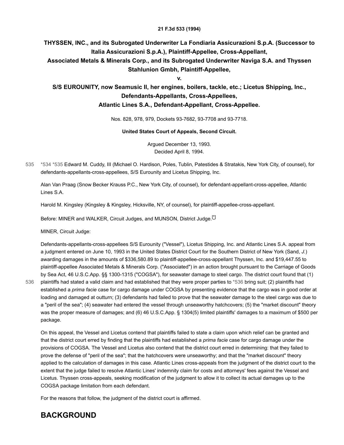#### **21 F.3d 533 (1994)**

#### **THYSSEN, INC., and its Subrogated Underwriter La Fondiaria Assicurazioni S.p.A. (Successor to Italia Assicurazioni S.p.A.), Plaintiff-Appellee, Cross-Appellant,**

**Associated Metals & Minerals Corp., and its Subrogated Underwriter Naviga S.A. and Thyssen Stahlunion Gmbh, Plaintiff-Appellee,**

**v.**

#### **S/S EUROUNITY, now Seamusic II, her engines, boilers, tackle, etc.; Licetus Shipping, Inc., Defendants-Appellants, Cross-Appellees, Atlantic Lines S.A., Defendant-Appellant, Cross-Appellee.**

Nos. 828, 978, 979, Dockets 93-7682, 93-7708 and 93-7718.

#### **United States Court of Appeals, Second Circuit.**

<span id="page-1-3"></span><span id="page-1-2"></span>Argued December 13, 1993. Decided April 8, 1994.

<span id="page-1-0"></span>[\\*534](#page-1-0) [\\*535](#page-1-1) Edward M. Cuddy, III (Michael O. Hardison, Poles, Tublin, Patestides & Stratakis, New York City, of counsel), for defendants-appellants-cross-appellees, S/S Eurounity and Licetus Shipping, Inc. 535

<span id="page-1-1"></span>Alan Van Praag (Snow Becker Krauss P.C., New York City, of counsel), for defendant-appellant-cross-appellee, Atlantic Lines S.A.

Harold M. Kingsley (Kingsley & Kingsley, Hicksville, NY, of counsel), for plaintiff-appellee-cross-appellant.

Before: MINER and WALKER, Circuit Judges, and MUNSON, District Judge.<sup>[\[\\*\]](#page-6-0)</sup>

MINER, Circuit Judge:

[536](#page-1-2)

Defendants-appellants-cross-appellees S/S Eurounity ("Vessel"), Licetus Shipping, Inc. and Atlantic Lines S.A. appeal from a judgment entered on June 10, 1993 in the United States District Court for the Southern District of New York (Sand, *J.*) awarding damages in the amounts of \$336,580.89 to plaintiff-appellee-cross-appellant Thyssen, Inc. and \$19,447.55 to plaintiff-appellee Associated Metals & Minerals Corp. ("Associated") in an action brought pursuant to the Carriage of Goods by Sea Act, 46 U.S.C.App. §§ 1300-1315 ("COGSA"), for seawater damage to steel cargo. The district court found that (1) plaintiffs had stated a valid claim and had established that they were proper parties to [\\*536](#page-1-2) bring suit; (2) plaintiffs had established a *prima facie* case for cargo damage under COGSA by presenting evidence that the cargo was in good order at loading and damaged at outturn; (3) defendants had failed to prove that the seawater damage to the steel cargo was due to a "peril of the sea"; (4) seawater had entered the vessel through unseaworthy hatchcovers; (5) the "market discount" theory was the proper measure of damages; and (6) 46 U.S.C.App. § 1304(5) limited plaintiffs' damages to a maximum of \$500 per package.

On this appeal, the Vessel and Licetus contend that plaintiffs failed to state a claim upon which relief can be granted and that the district court erred by finding that the plaintiffs had established a *prima facie* case for cargo damage under the provisions of COGSA. The Vessel and Licetus also contend that the district court erred in determining: that they failed to prove the defense of "peril of the sea"; that the hatchcovers were unseaworthy; and that the "market discount" theory applied to the calculation of damages in this case. Atlantic Lines cross-appeals from the judgment of the district court to the extent that the judge failed to resolve Atlantic Lines' indemnity claim for costs and attorneys' fees against the Vessel and Licetus. Thyssen cross-appeals, seeking modification of the judgment to allow it to collect its actual damages up to the COGSA package limitation from each defendant.

For the reasons that follow, the judgment of the district court is affirmed.

### **BACKGROUND**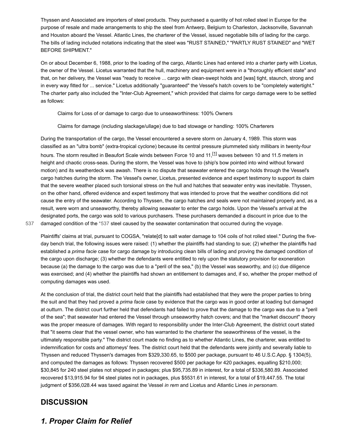Thyssen and Associated are importers of steel products. They purchased a quantity of hot rolled steel in Europe for the purpose of resale and made arrangements to ship the steel from Antwerp, Belgium to Charleston, Jacksonville, Savannah and Houston aboard the Vessel. Atlantic Lines, the charterer of the Vessel, issued negotiable bills of lading for the cargo. The bills of lading included notations indicating that the steel was "RUST STAINED," "PARTLY RUST STAINED" and "WET BEFORE SHIPMENT."

On or about December 6, 1988, prior to the loading of the cargo, Atlantic Lines had entered into a charter party with Licetus, the owner of the Vessel. Licetus warranted that the hull, machinery and equipment were in a "thoroughly efficient state" and that, on her delivery, the Vessel was "ready to receive ... cargo with clean-swept holds and [was] tight, staunch, strong and in every way fitted for ... service." Licetus additionally "guaranteed" the Vessel's hatch covers to be "completely watertight." The charter party also included the "Inter-Club Agreement," which provided that claims for cargo damage were to be settled as follows:

Claims for Loss of or damage to cargo due to unseaworthiness: 100% Owners

<span id="page-2-1"></span>Claims for damage (including slackage/ullage) due to bad stowage or handling: 100% Charterers

During the transportation of the cargo, the Vessel encountered a severe storm on January 4, 1989. This storm was classified as an "ultra bomb" (extra-tropical cyclone) because its central pressure plummeted sixty millibars in twenty-four hours. The storm resulted in Beaufort Scale winds between Force 10 and 11,<sup>[\[1\]](#page-6-1)</sup> waves between 10 and 11.5 meters in height and chaotic cross-seas. During the storm, the Vessel was hove to (ship's bow pointed into wind without forward motion) and its weatherdeck was awash. There is no dispute that seawater entered the cargo holds through the Vessel's cargo hatches during the storm. The Vessel's owner, Licetus, presented evidence and expert testimony to support its claim that the severe weather placed such torsional stress on the hull and hatches that seawater entry was inevitable. Thyssen, on the other hand, offered evidence and expert testimony that was intended to prove that the weather conditions did not cause the entry of the seawater. According to Thyssen, the cargo hatches and seals were not maintained properly and, as a result, were worn and unseaworthy, thereby allowing seawater to enter the cargo holds. Upon the Vessel's arrival at the designated ports, the cargo was sold to various purchasers. These purchasers demanded a discount in price due to the [537](#page-2-0) damaged condition of the [\\*537](#page-2-0) steel caused by the seawater contamination that occurred during the voyage.

<span id="page-2-0"></span>Plaintiffs' claims at trial, pursuant to COGSA, "relate[d] to salt water damage to 104 coils of hot rolled steel." During the fiveday bench trial, the following issues were raised: (1) whether the plaintiffs had standing to sue; (2) whether the plaintiffs had established a *prima facie* case for cargo damage by introducing clean bills of lading and proving the damaged condition of the cargo upon discharge; (3) whether the defendants were entitled to rely upon the statutory provision for exoneration because (a) the damage to the cargo was due to a "peril of the sea," (b) the Vessel was seaworthy, and (c) due diligence was exercised; and (4) whether the plaintiffs had shown an entitlement to damages and, if so, whether the proper method of computing damages was used.

At the conclusion of trial, the district court held that the plaintiffs had established that they were the proper parties to bring the suit and that they had proved a *prima facie* case by evidence that the cargo was in good order at loading but damaged at outturn. The district court further held that defendants had failed to prove that the damage to the cargo was due to a "peril of the sea"; that seawater had entered the Vessel through unseaworthy hatch covers; and that the "market discount" theory was the proper measure of damages. With regard to responsibility under the Inter-Club Agreement, the district court stated that "it seems clear that the vessel owner, who has warranted to the charterer the seaworthiness of the vessel, is the ultimately responsible party." The district court made no finding as to whether Atlantic Lines, the charterer, was entitled to indemnification for costs and attorneys' fees. The district court held that the defendants were jointly and severally liable to Thyssen and reduced Thyssen's damages from \$329,330.65, to \$500 per package, pursuant to 46 U.S.C.App. § 1304(5), and computed the damages as follows: Thyssen recovered \$500 per package for 420 packages, equalling \$210,000; \$30,845 for 240 steel plates not shipped in packages; plus \$95,735.89 in interest, for a total of \$336,580.89. Associated recovered \$13,915.94 for 94 steel plates not in packages, plus \$5531.61 in interest, for a total of \$19,447.55. The total judgment of \$356,028.44 was taxed against the Vessel *in rem* and Licetus and Atlantic Lines *in personam.*

### **DISCUSSION**

### *1. Proper Claim for Relief*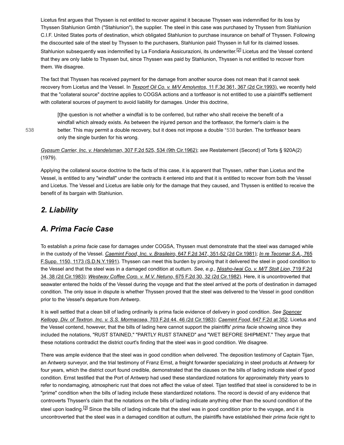Licetus first argues that Thyssen is not entitled to recover against it because Thyssen was indemnified for its loss by Thyssen Stahlunion Gmbh ("Stahlunion"), the supplier. The steel in this case was purchased by Thyssen from Stahlunion C.I.F. United States ports of destination, which obligated Stahlunion to purchase insurance on behalf of Thyssen. Following the discounted sale of the steel by Thyssen to the purchasers, Stahlunion paid Thyssen in full for its claimed losses. Stahlunion subsequently was indemnified by La Fondiaria Assicurazioni, its underwriter.<sup>[\[2\]](#page-6-2)</sup> Licetus and the Vessel contend that they are only liable to Thyssen but, since Thyssen was paid by Stahlunion, Thyssen is not entitled to recover from them. We disagree.

The fact that Thyssen has received payment for the damage from another source does not mean that it cannot seek recovery from Licetus and the Vessel. In *[Texport Oil Co. v. M/V Amolyntos,](https://scholar.google.com/scholar_case?case=10423737498540404801&q=93-7682&hl=en&as_sdt=6,31)* 11 F.3d 361, 367 (2d Cir.1993), we recently held that the "collateral source" doctrine applies to COGSA actions and a tortfeasor is not entitled to use a plaintiff's settlement with collateral sources of payment to avoid liability for damages. Under this doctrine,

<span id="page-3-1"></span><span id="page-3-0"></span>[t]he question is not whether a windfall is to be conferred, but rather who shall receive the benefit of a windfall which already exists. As between the injured person and the tortfeasor, the former's claim is the better. This may permit a double recovery, but it does not impose a double [\\*538](#page-3-0) burden. The tortfeasor bears only the single burden for his wrong.

[538](#page-3-0)

*[Gypsum Carrier, Inc. v. Handelsman,](https://scholar.google.com/scholar_case?case=6631078374520374300&q=93-7682&hl=en&as_sdt=6,31)* 307 F.2d 525, 534 (9th Cir.1962); *see* Restatement (Second) of Torts § 920A(2) (1979).

Applying the collateral source doctrine to the facts of this case, it is apparent that Thyssen, rather than Licetus and the Vessel, is entitled to any "windfall" under the contracts it entered into and that it is entitled to recover from both the Vessel and Licetus. The Vessel and Licetus are liable only for the damage that they caused, and Thyssen is entitled to receive the benefit of its bargain with Stahlunion.

#### *2. Liability*

#### *A. Prima Facie Case*

To establish a *prima facie* case for damages under COGSA, Thyssen must demonstrate that the steel was damaged while in the custody of the Vessel. *Caemint Food, Inc. v. Brasileiro,* [647 F.2d 347, 351-52 \(2d Cir.1981\);](https://scholar.google.com/scholar_case?case=1099849946157781427&q=93-7682&hl=en&as_sdt=6,31) *In re Tecomar S.A.,* 765 [F.Supp. 1150, 1173 \(S.D.N.Y.1991\). Thyssen can meet this burden by proving that it delivered the steel in good condition t](https://scholar.google.com/scholar_case?case=1657466963377771925&q=93-7682&hl=en&as_sdt=6,31)o [the Vessel and that the steel was in a damaged condition at outturn.](https://scholar.google.com/scholar_case?case=18210242433492907534&q=93-7682&hl=en&as_sdt=6,31) *See, e.g., Nissho-Iwai Co. v. M/T Stolt Lion,* 719 F.2d 34, 38 (2d Cir.1983); *[Westway Coffee Corp. v. M.V. Netuno,](https://scholar.google.com/scholar_case?case=5893027485375280312&q=93-7682&hl=en&as_sdt=6,31)* 675 F.2d 30, 32 (2d Cir.1982). Here, it is uncontroverted that seawater entered the holds of the Vessel during the voyage and that the steel arrived at the ports of destination in damaged condition. The only issue in dispute is whether Thyssen proved that the steel was delivered to the Vessel in good condition prior to the Vessel's departure from Antwerp.

[It is well settled that a clean bill of lading ordinarily is prima facie evidence of delivery in good condition.](https://scholar.google.com/scholar_case?case=16204159919541508815&q=93-7682&hl=en&as_sdt=6,31) *See Spencer Kellogg, Div. of Textron, Inc. v. S.S. Mormacsea,* 703 F.2d 44, 46 (2d Cir.1983); *Caemint Food,* [647 F.2d at 352](https://scholar.google.com/scholar_case?case=1099849946157781427&q=93-7682&hl=en&as_sdt=6,31). Licetus and the Vessel contend, however, that the bills of lading here cannot support the plaintiffs' *prima facie* showing since they included the notations, "RUST STAINED," "PARTLY RUST STAINED" and "WET BEFORE SHIPMENT." They argue that these notations contradict the district court's finding that the steel was in good condition. We disagree.

<span id="page-3-2"></span>There was ample evidence that the steel was in good condition when delivered. The deposition testimony of Captain Tijan, an Antwerp surveyor, and the trial testimony of Franz Ernst, a freight forwarder specializing in steel products at Antwerp for four years, which the district court found credible, demonstrated that the clauses on the bills of lading indicate steel of good condition. Ernst testified that the Port of Antwerp had used these standardized notations for approximately thirty years to refer to nondamaging, atmospheric rust that does not affect the value of steel. Tijan testified that steel is considered to be in "prime" condition when the bills of lading include these standardized notations. The record is devoid of any evidence that controverts Thyssen's claim that the notations on the bills of lading indicate anything other than the sound condition of the steel upon loading.<sup>[\[3\]](#page-6-3)</sup> Since the bills of lading indicate that the steel was in good condition prior to the voyage, and it is uncontroverted that the steel was in a damaged condition at outturn, the plaintiffs have established their *prima facie* right to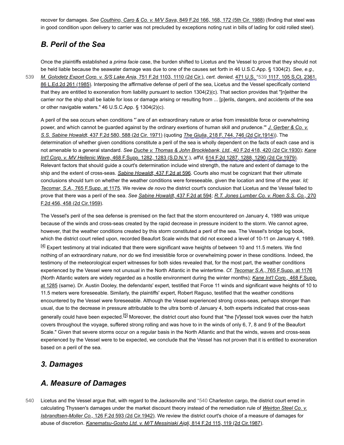recover for damages. *See Couthino, Caro & Co. v. M/V Sava,* [849 F.2d 166, 168, 172 \(5th Cir. 1988\)](https://scholar.google.com/scholar_case?case=3465292153980730809&q=93-7682&hl=en&as_sdt=6,31) (finding that steel was in good condition upon delivery to carrier was not precluded by exceptions noting rust in bills of lading for cold rolled steel).

### *B. Peril of the Sea*

[539](#page-4-0)

Once the plaintiffs established a *prima facie* case, the burden shifted to Licetus and the Vessel to prove that they should not be held liable because the seawater damage was due to one of the causes set forth in 46 U.S.C.App. § 1304(2). *See, e.g., [M. Golodetz Export Corp. v. S/S Lake Anja,](https://scholar.google.com/scholar_case?case=11291580640740072713&q=93-7682&hl=en&as_sdt=6,31)* 751 F.2d 1103, 1110 (2d Cir.), *cert. denied,* [471 U.S.](https://scholar.google.com/scholar_case?about=9604541005820536208&q=93-7682&hl=en&as_sdt=6,31) [\\*539](#page-4-0) 1117, 105 S.Ct. 2361,

<span id="page-4-0"></span>[86 L.Ed.2d 261 \(1985\). Interposing the affirmative defense of peril of the sea, Licetus and the Vessel specifically contend](https://scholar.google.com/scholar_case?about=9604541005820536208&q=93-7682&hl=en&as_sdt=6,31) that they are entitled to exoneration from liability pursuant to section 1304(2)(c). That section provides that "[n]either the carrier nor the ship shall be liable for loss or damage arising or resulting from ... [p]erils, dangers, and accidents of the sea or other navigable waters." 46 U.S.C.App. § 1304(2)(c).

A peril of the sea occurs when conditions "`are of an extraordinary nature or arise from irresistible force or overwhelming [power, and which cannot be guarded against by the ordinary exertions of human skill and prudence.'"](https://scholar.google.com/scholar_case?case=13384613580112839724&q=93-7682&hl=en&as_sdt=6,31) *J. Gerber & Co. v. S.S. Sabine Howaldt,* 437 F.2d 580, 588 (2d Cir. 1971) (quoting *The Giulia,* [218 F. 744, 746 \(2d Cir.1914\)\)](https://scholar.google.com/scholar_case?about=1317538098735986891&q=93-7682&hl=en&as_sdt=6,31). The determination of whether given conditions constitute a peril of the sea is wholly dependent on the facts of each case and is not amenable to a general standard. *[See](https://scholar.google.com/scholar_case?case=1894479524722028670&q=93-7682&hl=en&as_sdt=6,31) [Duche v. Thomas & John Brocklebank, Ltd.,](https://scholar.google.com/scholar_case?case=7260080182223234309&q=93-7682&hl=en&as_sdt=6,31)* 40 F.2d 418, 420 (2d Cir.1930); *Kane Int'l Corp. v. MV Hellenic Wave,* 468 F.Supp. 1282, 1283 (S.D.N.Y.), *aff'd,* [614 F.2d 1287, 1288, 1290 \(2d Cir.1979\).](https://scholar.google.com/scholar_case?about=3033703849243708916&q=93-7682&hl=en&as_sdt=6,31) Relevant factors that should guide a court's determination include wind strength, the nature and extent of damage to the ship and the extent of cross-seas. *[Sabine Howaldt,](https://scholar.google.com/scholar_case?case=13384613580112839724&q=93-7682&hl=en&as_sdt=6,31)* 437 F.2d at 596. Courts also must be cognizant that their ultimate conclusions should turn on whether the weather conditions were foreseeable, given the location and time of the year. *Id; Tecomar, S.A.,* [765 F.Supp. at 1175.](https://scholar.google.com/scholar_case?case=1657466963377771925&q=93-7682&hl=en&as_sdt=6,31) We review *de novo* the district court's conclusion that Licetus and the Vessel failed to prove that there was a peril of the sea. *See [Sabine Howaldt,](https://scholar.google.com/scholar_case?case=13384613580112839724&q=93-7682&hl=en&as_sdt=6,31)* 437 F.2d at 594; *[R.T. Jones Lumber Co. v. Roen S.S. Co.,](https://scholar.google.com/scholar_case?case=14250678413969429643&q=93-7682&hl=en&as_sdt=6,31)* 270 F.2d 456, 458 (2d Cir.1959).

<span id="page-4-2"></span>The Vessel's peril of the sea defense is premised on the fact that the storm encountered on January 4, 1989 was unique because of the winds and cross-seas created by the rapid decrease in pressure incident to the storm. We cannot agree, however, that the weather conditions created by this storm constituted a peril of the sea. The Vessel's bridge log book, which the district court relied upon, recorded Beaufort Scale winds that did not exceed a level of 10-11 on January 4, 1989. <sup>[\[4\]](#page-6-4)</sup> Expert testimony at trial indicated that there were significant wave heights of between 10 and 11.5 meters. We find nothing of an extraordinary nature, nor do we find irresistible force or overwhelming power in these conditions. Indeed, the testimony of the meteorological expert witnesses for both sides revealed that, for the most part, the weather conditions experienced by the Vessel were not unusual in the North Atlantic in the wintertime. *Cf. Tecomar S.A.,* [765 F.Supp. at 1176](https://scholar.google.com/scholar_case?case=1657466963377771925&q=93-7682&hl=en&as_sdt=6,31) (North Atlantic waters are widely regarded as a hostile environment during the winter months); *Kane Int'l Corp.,* 468 F.Supp. [at 1285 \(same\). Dr. Austin Dooley, the defendants' expert, testified that Force 11 winds and significant wave heights of 10 to](https://scholar.google.com/scholar_case?case=1894479524722028670&q=93-7682&hl=en&as_sdt=6,31) 11.5 meters were foreseeable. Similarly, the plaintiffs' expert, Robert Raguso, testified that the weather conditions encountered by the Vessel were foreseeable. Although the Vessel experienced strong cross-seas, perhaps stronger than usual, due to the decrease in pressure attributable to the ultra bomb of January 4, both experts indicated that cross-seas generally could have been expected.<sup>[\[5\]](#page-6-5)</sup> Moreover, the district court also found that "the [V]essel took waves over the hatch covers throughout the voyage, suffered strong rolling and was hove to in the winds of only 6, 7, 8 and 9 of the Beaufort Scale." Given that severe storms occur on a regular basis in the North Atlantic and that the winds, waves and cross-seas experienced by the Vessel were to be expected, we conclude that the Vessel has not proven that it is entitled to exoneration based on a peril of the sea.

#### <span id="page-4-3"></span>*3. Damages*

### <span id="page-4-1"></span>*A. Measure of Damages*

Licetus and the Vessel argue that, with regard to the Jacksonville and [\\*540](#page-4-1) Charleston cargo, the district court erred in [calculating Thyssen's damages under the market discount theory instead of the remediation rule of](https://scholar.google.com/scholar_case?case=7866245408460527460&q=93-7682&hl=en&as_sdt=6,31) *Weirton Steel Co. v. Isbrandtsen-Moller Co.,* 126 F.2d 593 (2d Cir.1942). We review the district court's choice of a measure of damages for abuse of discretion. *[Kanematsu-Gosho Ltd. v. M/T Messiniaki Aigli,](https://scholar.google.com/scholar_case?case=87160709252466084&q=93-7682&hl=en&as_sdt=6,31)* 814 F.2d 115, 119 (2d Cir.1987). [540](#page-4-1)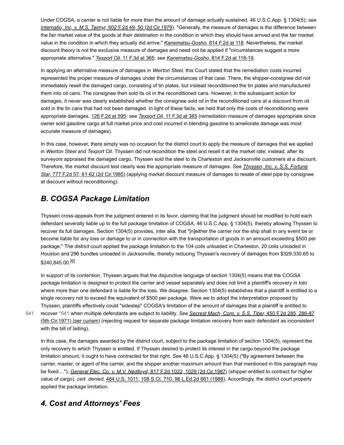Under COGSA, a carrier is not liable for more than the amount of damage actually sustained. 46 U.S.C.App. § 1304(5); *see Internatio, Inc, v. M.S. Taimyr,* [602 F.2d 49, 50 \(2d Cir.1979\).](https://scholar.google.com/scholar_case?case=137647966356976466&q=93-7682&hl=en&as_sdt=6,31) "Generally, the measure of damages is the difference between the fair market value of the goods at their destination in the condition in which they should have arrived and the fair market value in the condition in which they actually did arrive." *[Kanematsu-Gosho,](https://scholar.google.com/scholar_case?case=87160709252466084&q=93-7682&hl=en&as_sdt=6,31)* 814 F.2d at 118. Nevertheless, the market discount theory is not the exclusive measure of damages and need not be applied if "circumstances suggest a more appropriate alternative." *Texport Oil,* [11 F.3d at 365;](https://scholar.google.com/scholar_case?case=10423737498540404801&q=93-7682&hl=en&as_sdt=6,31) *see [Kanematsu-Gosho,](https://scholar.google.com/scholar_case?case=87160709252466084&q=93-7682&hl=en&as_sdt=6,31)* 814 F.2d at 118-19.

In applying an alternative measure of damages in *Weirton Steel,* this Court stated that the remediation costs incurred represented the proper measure of damages under the circumstances of that case. There, the shipper-consignee did not immediately resell the damaged cargo, consisting of tin plates, but instead reconditioned the tin plates and manufactured them into oil cans. The consignee then sold its oil in the reconditioned cans. However, in the subsequent action for damages, it never was clearly established whether the consignee sold oil in the reconditioned cans at a discount from oil sold in the tin cans that had not been damaged. In light of these facts, we held that only the costs of reconditioning were appropriate damages. [126 F.2d at 595;](https://scholar.google.com/scholar_case?case=7866245408460527460&q=93-7682&hl=en&as_sdt=6,31) *see Texport Oil,* [11 F.3d at 365](https://scholar.google.com/scholar_case?case=10423737498540404801&q=93-7682&hl=en&as_sdt=6,31) (remediation measure of damages appropriate since owner sold gasoline cargo at full market price and cost incurred in blending gasoline to ameliorate damage was most accurate measure of damages).

In this case, however, there simply was no occasion for the district court to apply the measure of damages that we applied in *Weirton Steel* and *Texport Oil.* Thyssen did not recondition the steel and resell it at the market rate; instead, after its surveyors appraised the damaged cargo, Thyssen sold the steel to its Charleston and Jacksonville customers at a discount. Therefore, the market discount test clearly was the appropriate measure of damages. *See Thyssen, Inc. v. S.S. Fortune Star,* [777 F.2d 57, 61-62 \(2d Cir.1985\) \(applying market discount measure of damages to resale of steel pipe by consign](https://scholar.google.com/scholar_case?case=3291446403310765902&q=93-7682&hl=en&as_sdt=6,31)ee at discount without reconditioning).

# *B. COGSA Package Limitation*

Thyssen cross-appeals from the judgment entered in its favor, claiming that the judgment should be modified to hold each defendant severally liable up to the full package limitation of COGSA, 46 U.S.C.App. § 1304(5), thereby allowing Thyssen to recover its full damages. Section 1304(5) provides, inter alia, that "[n]either the carrier nor the ship shall in any event be or become liable for any loss or damage to or in connection with the transportation of goods in an amount exceeding \$500 per package." The district court applied the package limitation to the 104 coils unloaded in Charleston, 20 coils unloaded in Houston and 296 bundles unloaded in Jacksonville, thereby reducing Thyssen's recovery of damages from \$329,330.65 to \$240,845.00.<sup>[\[6\]](#page-6-6)</sup>

<span id="page-5-1"></span>In support of its contention, Thyssen argues that the disjunctive language of section 1304(5) means that the COGSA package limitation is designed to protect the carrier and vessel separately and does not limit a plaintiff's recovery *in toto* where more than one defendant is liable for the loss. We disagree. Section 1304(5) establishes that a plaintiff is entitled to a single recovery not to exceed the equivalent of \$500 per package. Were we to adopt the interpretation proposed by Thyssen, plaintiffs effectively could "sidestep" COGSA's limitation of the amount of damages that a plaintiff is entitled to

<span id="page-5-0"></span>recover [\\*541](#page-5-0) when multiple defendants are subject to liability. *See Secrest Mach, Corp. v. S.S. Tiber,* 450 F.2d 285, 286-87 [\(5th Cir.1971\) \(per curiam\) \(rejecting request for separate package limitation recovery from each defendant as inconsistent](https://scholar.google.com/scholar_case?case=17244542088065704759&q=93-7682&hl=en&as_sdt=6,31) with the bill of lading). [541](#page-5-0)

In this case, the damages awarded by the district court, subject to the package limitation of section 1304(5), represent the only recovery to which Thyssen is entitled. If Thyssen desired to protect its interest in the cargo beyond the package limitation amount, it ought to have contracted for that right. *See* 46 U.S.C.App. § 1304(5) ("By agreement between the carrier, master, or agent of the carrier, and the shipper another maximum amount than that mentioned in this paragraph may be fixed...."); *[General Elec. Co. v. M.V. Nedlloyd,](https://scholar.google.com/scholar_case?case=1990421020340797712&q=93-7682&hl=en&as_sdt=6,31)* 817 F.2d 1022, 1029 (2d Cir.1987) (shipper entitled to contract for higher value of cargo), *cert. denied,* [484 U.S. 1011, 108 S.Ct. 710, 98 L.Ed.2d 661 \(1988\)](https://scholar.google.com/scholar_case?about=18408329838263982453&q=93-7682&hl=en&as_sdt=6,31). Accordingly, the district court properly applied the package limitation.

# *4. Cost and Attorneys' Fees*